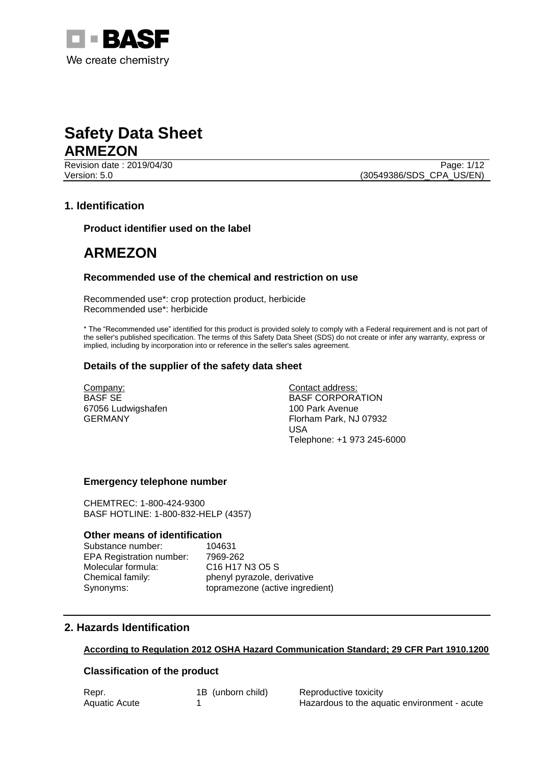



**Revision date : 2019/04/30** Page: 1/12 Version: 5.0 (30549386/SDS\_CPA\_US/EN)

# **1. Identification**

**Product identifier used on the label**

# **ARMEZON**

# **Recommended use of the chemical and restriction on use**

Recommended use\*: crop protection product, herbicide Recommended use\*: herbicide

\* The "Recommended use" identified for this product is provided solely to comply with a Federal requirement and is not part of the seller's published specification. The terms of this Safety Data Sheet (SDS) do not create or infer any warranty, express or implied, including by incorporation into or reference in the seller's sales agreement.

# **Details of the supplier of the safety data sheet**

Company: BASF SE 67056 Ludwigshafen GERMANY

Contact address: BASF CORPORATION 100 Park Avenue Florham Park, NJ 07932 USA Telephone: +1 973 245-6000

# **Emergency telephone number**

CHEMTREC: 1-800-424-9300 BASF HOTLINE: 1-800-832-HELP (4357)

### **Other means of identification**

Substance number: 104631 EPA Registration number: 7969-262 Molecular formula: C16 H17 N3 O5 S

Chemical family: phenyl pyrazole, derivative Synonyms: topramezone (active ingredient)

# **2. Hazards Identification**

# **According to Regulation 2012 OSHA Hazard Communication Standard; 29 CFR Part 1910.1200**

# **Classification of the product**

| Repr.         | 1B (unborn child) | Reproductive toxicity                        |
|---------------|-------------------|----------------------------------------------|
| Aquatic Acute |                   | Hazardous to the aquatic environment - acute |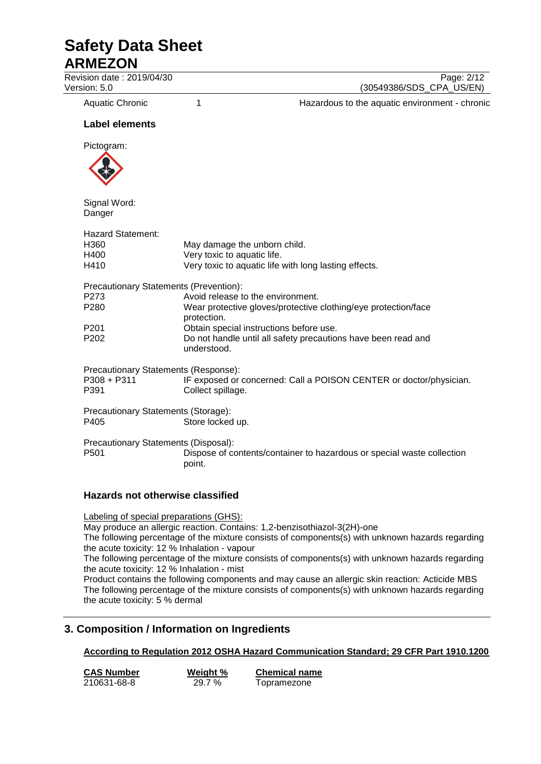# **Safety Data Sheet**

# **ARMEZON**

Revision date : 2019/04/30<br>
Version: 5.0 (30549386/SDS CPA US/EN)

(30549386/SDS\_CPA\_US/EN)

Aquatic Chronic 1 1 1 Hazardous to the aquatic environment - chronic

# **Label elements**

Pictogram:



Signal Word: Danger

| Hazard Statement:<br>H360<br>H400<br>H410    | May damage the unborn child.<br>Very toxic to aquatic life.<br>Very toxic to aquatic life with long lasting effects. |  |  |  |
|----------------------------------------------|----------------------------------------------------------------------------------------------------------------------|--|--|--|
| Precautionary Statements (Prevention):       |                                                                                                                      |  |  |  |
| P273                                         | Avoid release to the environment.                                                                                    |  |  |  |
| P280                                         | Wear protective gloves/protective clothing/eye protection/face<br>protection.                                        |  |  |  |
| P201                                         | Obtain special instructions before use.                                                                              |  |  |  |
| P202                                         | Do not handle until all safety precautions have been read and<br>understood.                                         |  |  |  |
| Precautionary Statements (Response):         |                                                                                                                      |  |  |  |
| P308 + P311<br>P391                          | IF exposed or concerned: Call a POISON CENTER or doctor/physician.<br>Collect spillage.                              |  |  |  |
| Precautionary Statements (Storage):          |                                                                                                                      |  |  |  |
| P405                                         | Store locked up.                                                                                                     |  |  |  |
| Precautionary Statements (Disposal):<br>P501 | Dispose of contents/container to hazardous or special waste collection<br>point.                                     |  |  |  |
| <b>Hazards not otherwise classified</b>      |                                                                                                                      |  |  |  |

Labeling of special preparations (GHS): May produce an allergic reaction. Contains: 1,2-benzisothiazol-3(2H)-one The following percentage of the mixture consists of components(s) with unknown hazards regarding the acute toxicity: 12 % Inhalation - vapour The following percentage of the mixture consists of components(s) with unknown hazards regarding the acute toxicity: 12 % Inhalation - mist Product contains the following components and may cause an allergic skin reaction: Acticide MBS The following percentage of the mixture consists of components(s) with unknown hazards regarding the acute toxicity: 5 % dermal

# **3. Composition / Information on Ingredients**

**According to Regulation 2012 OSHA Hazard Communication Standard; 29 CFR Part 1910.1200**

| <b>CAS Number</b> | Weight % | <b>Chemical name</b> |
|-------------------|----------|----------------------|
| 210631-68-8       | 29.7%    | Topramezone          |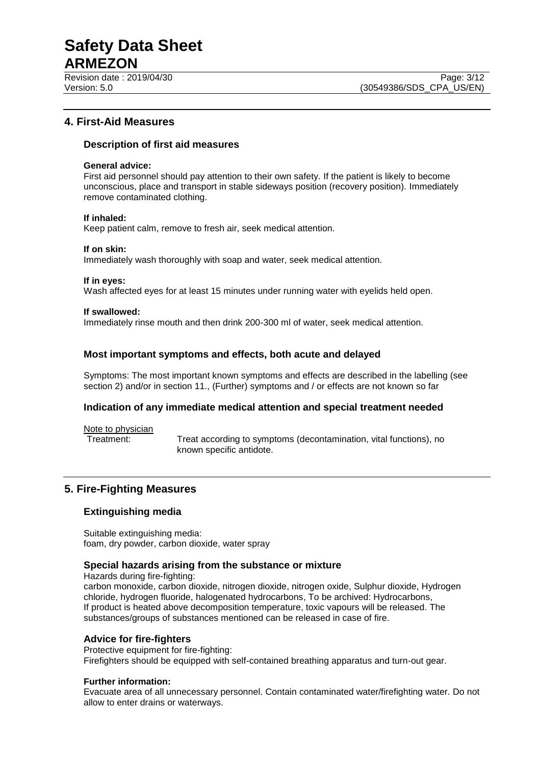Revision date : 2019/04/30 Page: 3/12<br>Version: 5.0 (30549386/SDS\_CPA\_US/EN)

# **4. First-Aid Measures**

# **Description of first aid measures**

### **General advice:**

First aid personnel should pay attention to their own safety. If the patient is likely to become unconscious, place and transport in stable sideways position (recovery position). Immediately remove contaminated clothing.

### **If inhaled:**

Keep patient calm, remove to fresh air, seek medical attention.

### **If on skin:**

Immediately wash thoroughly with soap and water, seek medical attention.

#### **If in eyes:**

Wash affected eyes for at least 15 minutes under running water with eyelids held open.

### **If swallowed:**

Immediately rinse mouth and then drink 200-300 ml of water, seek medical attention.

# **Most important symptoms and effects, both acute and delayed**

Symptoms: The most important known symptoms and effects are described in the labelling (see section 2) and/or in section 11., (Further) symptoms and / or effects are not known so far

### **Indication of any immediate medical attention and special treatment needed**

Note to physician<br>Treatment:

Treat according to symptoms (decontamination, vital functions), no known specific antidote.

# **5. Fire-Fighting Measures**

# **Extinguishing media**

Suitable extinguishing media: foam, dry powder, carbon dioxide, water spray

### **Special hazards arising from the substance or mixture**

Hazards during fire-fighting:

carbon monoxide, carbon dioxide, nitrogen dioxide, nitrogen oxide, Sulphur dioxide, Hydrogen chloride, hydrogen fluoride, halogenated hydrocarbons, To be archived: Hydrocarbons, If product is heated above decomposition temperature, toxic vapours will be released. The substances/groups of substances mentioned can be released in case of fire.

# **Advice for fire-fighters**

Protective equipment for fire-fighting: Firefighters should be equipped with self-contained breathing apparatus and turn-out gear.

### **Further information:**

Evacuate area of all unnecessary personnel. Contain contaminated water/firefighting water. Do not allow to enter drains or waterways.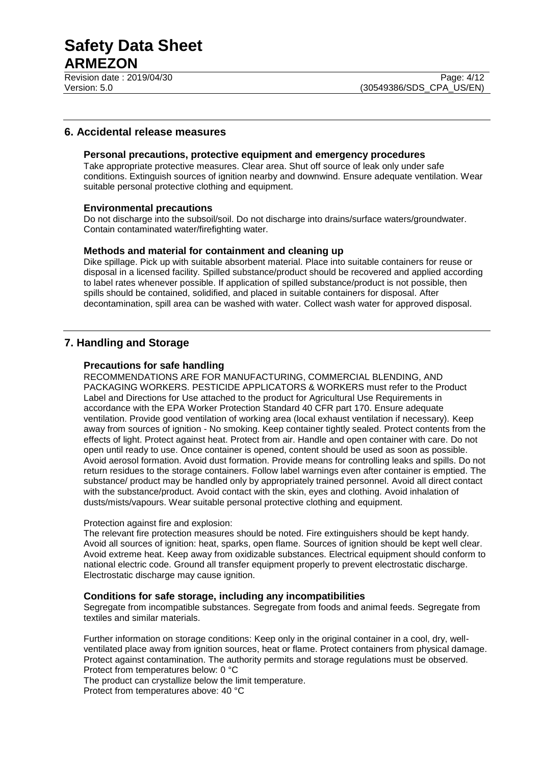# **6. Accidental release measures**

### **Personal precautions, protective equipment and emergency procedures**

Take appropriate protective measures. Clear area. Shut off source of leak only under safe conditions. Extinguish sources of ignition nearby and downwind. Ensure adequate ventilation. Wear suitable personal protective clothing and equipment.

### **Environmental precautions**

Do not discharge into the subsoil/soil. Do not discharge into drains/surface waters/groundwater. Contain contaminated water/firefighting water.

### **Methods and material for containment and cleaning up**

Dike spillage. Pick up with suitable absorbent material. Place into suitable containers for reuse or disposal in a licensed facility. Spilled substance/product should be recovered and applied according to label rates whenever possible. If application of spilled substance/product is not possible, then spills should be contained, solidified, and placed in suitable containers for disposal. After decontamination, spill area can be washed with water. Collect wash water for approved disposal.

# **7. Handling and Storage**

### **Precautions for safe handling**

RECOMMENDATIONS ARE FOR MANUFACTURING, COMMERCIAL BLENDING, AND PACKAGING WORKERS. PESTICIDE APPLICATORS & WORKERS must refer to the Product Label and Directions for Use attached to the product for Agricultural Use Requirements in accordance with the EPA Worker Protection Standard 40 CFR part 170. Ensure adequate ventilation. Provide good ventilation of working area (local exhaust ventilation if necessary). Keep away from sources of ignition - No smoking. Keep container tightly sealed. Protect contents from the effects of light. Protect against heat. Protect from air. Handle and open container with care. Do not open until ready to use. Once container is opened, content should be used as soon as possible. Avoid aerosol formation. Avoid dust formation. Provide means for controlling leaks and spills. Do not return residues to the storage containers. Follow label warnings even after container is emptied. The substance/ product may be handled only by appropriately trained personnel. Avoid all direct contact with the substance/product. Avoid contact with the skin, eyes and clothing. Avoid inhalation of dusts/mists/vapours. Wear suitable personal protective clothing and equipment.

### Protection against fire and explosion:

The relevant fire protection measures should be noted. Fire extinguishers should be kept handy. Avoid all sources of ignition: heat, sparks, open flame. Sources of ignition should be kept well clear. Avoid extreme heat. Keep away from oxidizable substances. Electrical equipment should conform to national electric code. Ground all transfer equipment properly to prevent electrostatic discharge. Electrostatic discharge may cause ignition.

### **Conditions for safe storage, including any incompatibilities**

Segregate from incompatible substances. Segregate from foods and animal feeds. Segregate from textiles and similar materials.

Further information on storage conditions: Keep only in the original container in a cool, dry, wellventilated place away from ignition sources, heat or flame. Protect containers from physical damage. Protect against contamination. The authority permits and storage regulations must be observed. Protect from temperatures below: 0 °C

The product can crystallize below the limit temperature.

Protect from temperatures above: 40 °C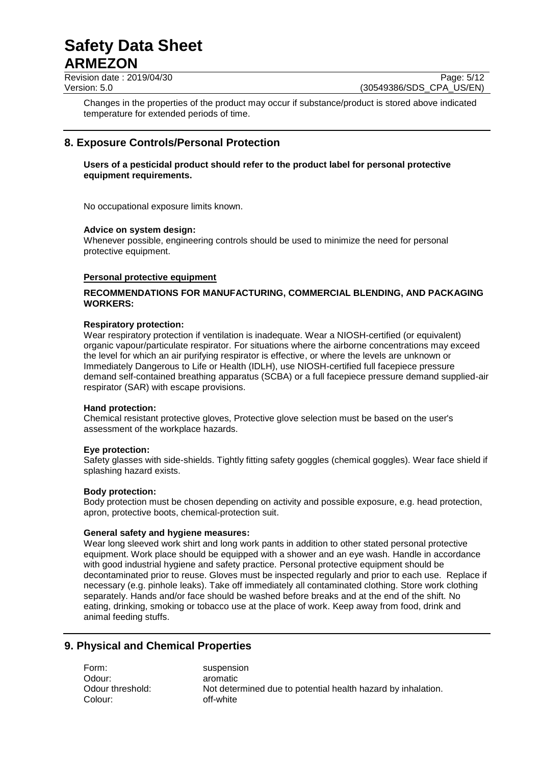Revision date : 2019/04/30 Page: 5/12<br>Version: 5.0 (30549386/SDS\_CPA\_US/EN)

(30549386/SDS CPA US/EN)

Changes in the properties of the product may occur if substance/product is stored above indicated temperature for extended periods of time.

# **8. Exposure Controls/Personal Protection**

# **Users of a pesticidal product should refer to the product label for personal protective equipment requirements.**

No occupational exposure limits known.

### **Advice on system design:**

Whenever possible, engineering controls should be used to minimize the need for personal protective equipment.

# **Personal protective equipment**

# **RECOMMENDATIONS FOR MANUFACTURING, COMMERCIAL BLENDING, AND PACKAGING WORKERS:**

### **Respiratory protection:**

Wear respiratory protection if ventilation is inadequate. Wear a NIOSH-certified (or equivalent) organic vapour/particulate respirator. For situations where the airborne concentrations may exceed the level for which an air purifying respirator is effective, or where the levels are unknown or Immediately Dangerous to Life or Health (IDLH), use NIOSH-certified full facepiece pressure demand self-contained breathing apparatus (SCBA) or a full facepiece pressure demand supplied-air respirator (SAR) with escape provisions.

### **Hand protection:**

Chemical resistant protective gloves, Protective glove selection must be based on the user's assessment of the workplace hazards.

### **Eye protection:**

Safety glasses with side-shields. Tightly fitting safety goggles (chemical goggles). Wear face shield if splashing hazard exists.

### **Body protection:**

Body protection must be chosen depending on activity and possible exposure, e.g. head protection, apron, protective boots, chemical-protection suit.

### **General safety and hygiene measures:**

Wear long sleeved work shirt and long work pants in addition to other stated personal protective equipment. Work place should be equipped with a shower and an eye wash. Handle in accordance with good industrial hygiene and safety practice. Personal protective equipment should be decontaminated prior to reuse. Gloves must be inspected regularly and prior to each use. Replace if necessary (e.g. pinhole leaks). Take off immediately all contaminated clothing. Store work clothing separately. Hands and/or face should be washed before breaks and at the end of the shift. No eating, drinking, smoking or tobacco use at the place of work. Keep away from food, drink and animal feeding stuffs.

# **9. Physical and Chemical Properties**

Form: suspension Odour: aromatic Colour: off-white

Odour threshold: Not determined due to potential health hazard by inhalation.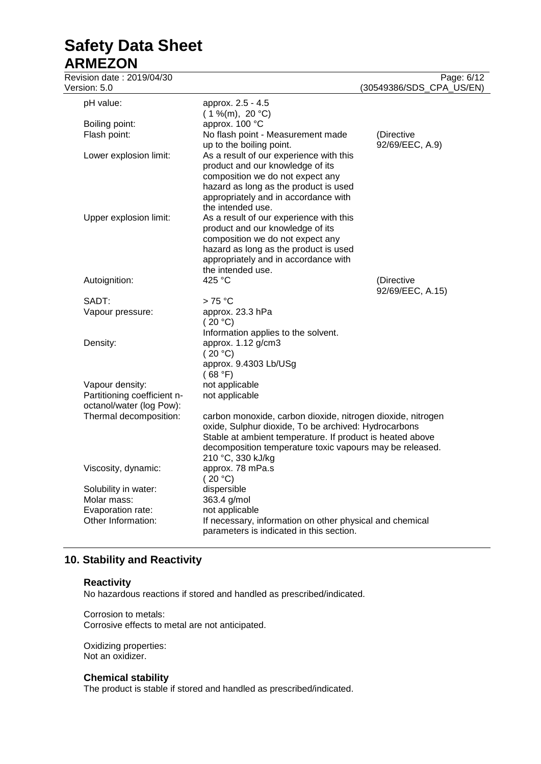# **Safety Data Sheet**

# **ARMEZON**<br>**Revision date: 20**

| Revision date: 2019/04/30<br>Version: 5.0                |                                                                                                                                                                                                                                                                   | Page: 6/12<br>(30549386/SDS_CPA_US/EN) |
|----------------------------------------------------------|-------------------------------------------------------------------------------------------------------------------------------------------------------------------------------------------------------------------------------------------------------------------|----------------------------------------|
| pH value:                                                | approx. 2.5 - 4.5<br>$(1\%$ (m), 20 °C)                                                                                                                                                                                                                           |                                        |
| Boiling point:                                           | approx. 100 °C                                                                                                                                                                                                                                                    |                                        |
| Flash point:                                             | No flash point - Measurement made<br>up to the boiling point.                                                                                                                                                                                                     | (Directive<br>92/69/EEC, A.9)          |
| Lower explosion limit:                                   | As a result of our experience with this<br>product and our knowledge of its<br>composition we do not expect any<br>hazard as long as the product is used<br>appropriately and in accordance with<br>the intended use.                                             |                                        |
| Upper explosion limit:                                   | As a result of our experience with this<br>product and our knowledge of its<br>composition we do not expect any<br>hazard as long as the product is used<br>appropriately and in accordance with<br>the intended use.                                             |                                        |
| Autoignition:                                            | 425 °C                                                                                                                                                                                                                                                            | (Directive<br>92/69/EEC, A.15)         |
| SADT:                                                    | $>75^{\circ}$ C                                                                                                                                                                                                                                                   |                                        |
| Vapour pressure:                                         | approx. 23.3 hPa<br>(20 °C)<br>Information applies to the solvent.                                                                                                                                                                                                |                                        |
| Density:                                                 | approx. 1.12 g/cm3<br>(20 °C)<br>approx. 9.4303 Lb/USg<br>(68 °F)                                                                                                                                                                                                 |                                        |
| Vapour density:                                          | not applicable                                                                                                                                                                                                                                                    |                                        |
| Partitioning coefficient n-<br>octanol/water (log Pow):  | not applicable                                                                                                                                                                                                                                                    |                                        |
| Thermal decomposition:                                   | carbon monoxide, carbon dioxide, nitrogen dioxide, nitrogen<br>oxide, Sulphur dioxide, To be archived: Hydrocarbons<br>Stable at ambient temperature. If product is heated above<br>decomposition temperature toxic vapours may be released.<br>210 °C, 330 kJ/kg |                                        |
| Viscosity, dynamic:                                      | approx. 78 mPa.s<br>(20 °C)                                                                                                                                                                                                                                       |                                        |
| Solubility in water:<br>Molar mass:<br>Evaporation rate: | dispersible<br>363.4 g/mol<br>not applicable                                                                                                                                                                                                                      |                                        |
| Other Information:                                       | If necessary, information on other physical and chemical<br>parameters is indicated in this section.                                                                                                                                                              |                                        |

# **10. Stability and Reactivity**

# **Reactivity**

No hazardous reactions if stored and handled as prescribed/indicated.

Corrosion to metals: Corrosive effects to metal are not anticipated.

Oxidizing properties: Not an oxidizer.

# **Chemical stability**

The product is stable if stored and handled as prescribed/indicated.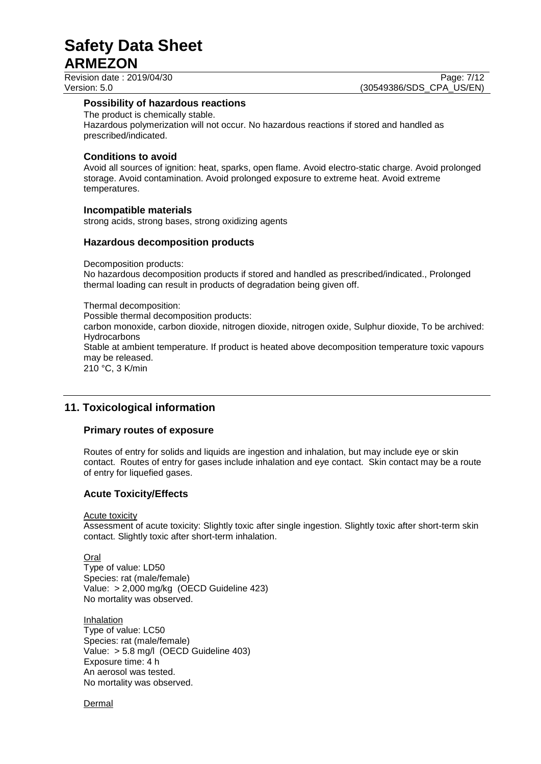Revision date : 2019/04/30 Page: 7/12<br>Version: 5.0 (30549386/SDS CPA US/EN)

(30549386/SDS\_CPA\_US/EN)

# **Possibility of hazardous reactions**

The product is chemically stable. Hazardous polymerization will not occur. No hazardous reactions if stored and handled as prescribed/indicated.

# **Conditions to avoid**

Avoid all sources of ignition: heat, sparks, open flame. Avoid electro-static charge. Avoid prolonged storage. Avoid contamination. Avoid prolonged exposure to extreme heat. Avoid extreme temperatures.

# **Incompatible materials**

strong acids, strong bases, strong oxidizing agents

# **Hazardous decomposition products**

Decomposition products:

No hazardous decomposition products if stored and handled as prescribed/indicated., Prolonged thermal loading can result in products of degradation being given off.

# Thermal decomposition: Possible thermal decomposition products: carbon monoxide, carbon dioxide, nitrogen dioxide, nitrogen oxide, Sulphur dioxide, To be archived:

**Hydrocarbons** Stable at ambient temperature. If product is heated above decomposition temperature toxic vapours may be released.

210 °C, 3 K/min

# **11. Toxicological information**

# **Primary routes of exposure**

Routes of entry for solids and liquids are ingestion and inhalation, but may include eye or skin contact. Routes of entry for gases include inhalation and eye contact. Skin contact may be a route of entry for liquefied gases.

# **Acute Toxicity/Effects**

Acute toxicity

Assessment of acute toxicity: Slightly toxic after single ingestion. Slightly toxic after short-term skin contact. Slightly toxic after short-term inhalation.

Oral

Type of value: LD50 Species: rat (male/female) Value: > 2,000 mg/kg (OECD Guideline 423) No mortality was observed.

**Inhalation** Type of value: LC50 Species: rat (male/female) Value: > 5.8 mg/l (OECD Guideline 403) Exposure time: 4 h An aerosol was tested. No mortality was observed.

Dermal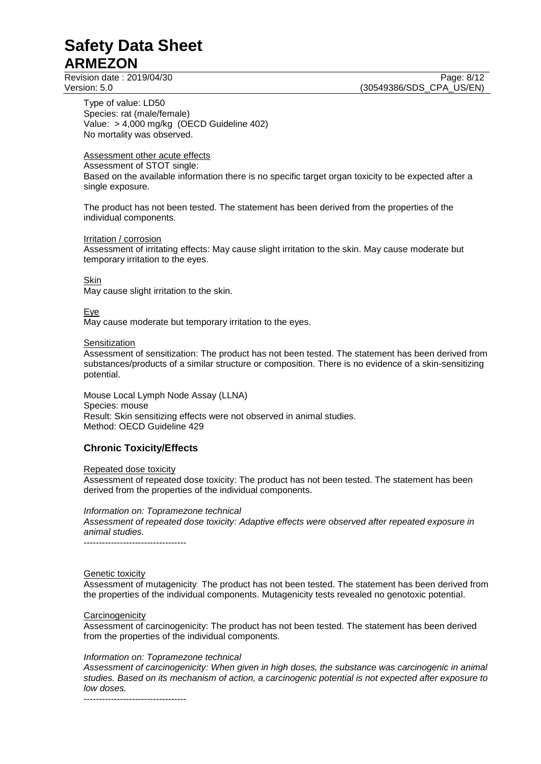Revision date : 2019/04/30 Page: 8/12<br>Version: 5.0 (30549386/SDS\_CPA\_US/EN) (30549386/SDS\_CPA\_US/EN)

Type of value: LD50 Species: rat (male/female) Value: > 4,000 mg/kg (OECD Guideline 402) No mortality was observed.

### Assessment other acute effects

Assessment of STOT single:

Based on the available information there is no specific target organ toxicity to be expected after a single exposure.

The product has not been tested. The statement has been derived from the properties of the individual components.

### Irritation / corrosion

Assessment of irritating effects: May cause slight irritation to the skin. May cause moderate but temporary irritation to the eyes.

### Skin

May cause slight irritation to the skin.

### Eye

May cause moderate but temporary irritation to the eyes.

#### Sensitization

Assessment of sensitization: The product has not been tested. The statement has been derived from substances/products of a similar structure or composition. There is no evidence of a skin-sensitizing potential.

Mouse Local Lymph Node Assay (LLNA) Species: mouse Result: Skin sensitizing effects were not observed in animal studies. Method: OECD Guideline 429

# **Chronic Toxicity/Effects**

Repeated dose toxicity Assessment of repeated dose toxicity: The product has not been tested. The statement has been derived from the properties of the individual components.

*Information on: Topramezone technical*

*Assessment of repeated dose toxicity: Adaptive effects were observed after repeated exposure in animal studies.*

----------------------------------

#### Genetic toxicity

Assessment of mutagenicity: The product has not been tested. The statement has been derived from the properties of the individual components. Mutagenicity tests revealed no genotoxic potential.

#### **Carcinogenicity**

Assessment of carcinogenicity: The product has not been tested. The statement has been derived from the properties of the individual components.

#### *Information on: Topramezone technical*

*Assessment of carcinogenicity: When given in high doses, the substance was carcinogenic in animal studies. Based on its mechanism of action, a carcinogenic potential is not expected after exposure to low doses.* ----------------------------------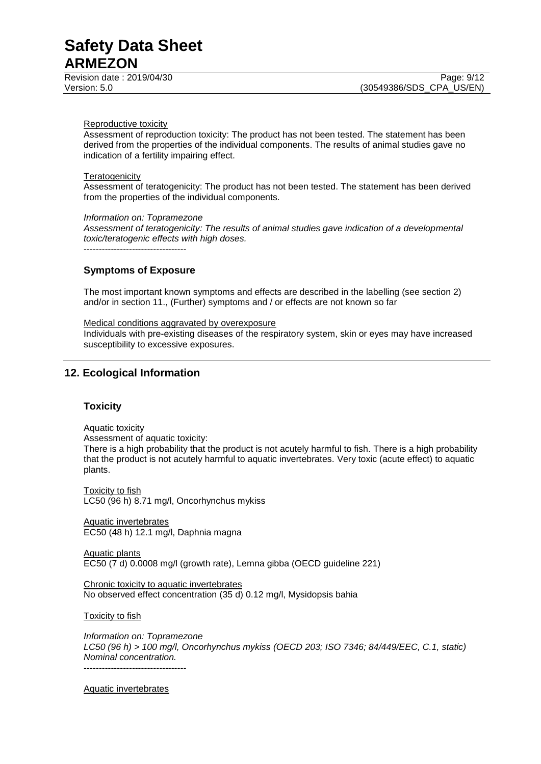Revision date : 2019/04/30 Page: 9/12

#### Reproductive toxicity

Assessment of reproduction toxicity: The product has not been tested. The statement has been derived from the properties of the individual components. The results of animal studies gave no indication of a fertility impairing effect.

### **Teratogenicity**

Assessment of teratogenicity: The product has not been tested. The statement has been derived from the properties of the individual components.

### *Information on: Topramezone*

*Assessment of teratogenicity: The results of animal studies gave indication of a developmental toxic/teratogenic effects with high doses.*

----------------------------------

### **Symptoms of Exposure**

The most important known symptoms and effects are described in the labelling (see section 2) and/or in section 11., (Further) symptoms and / or effects are not known so far

#### Medical conditions aggravated by overexposure

Individuals with pre-existing diseases of the respiratory system, skin or eyes may have increased susceptibility to excessive exposures.

# **12. Ecological Information**

# **Toxicity**

Aquatic toxicity

Assessment of aquatic toxicity:

There is a high probability that the product is not acutely harmful to fish. There is a high probability that the product is not acutely harmful to aquatic invertebrates. Very toxic (acute effect) to aquatic plants.

**Toxicity to fish** LC50 (96 h) 8.71 mg/l, Oncorhynchus mykiss

Aquatic invertebrates EC50 (48 h) 12.1 mg/l, Daphnia magna

Aquatic plants EC50 (7 d) 0.0008 mg/l (growth rate), Lemna gibba (OECD guideline 221)

Chronic toxicity to aquatic invertebrates No observed effect concentration (35 d) 0.12 mg/l, Mysidopsis bahia

Toxicity to fish

*Information on: Topramezone LC50 (96 h) > 100 mg/l, Oncorhynchus mykiss (OECD 203; ISO 7346; 84/449/EEC, C.1, static) Nominal concentration.* ----------------------------------

Aquatic invertebrates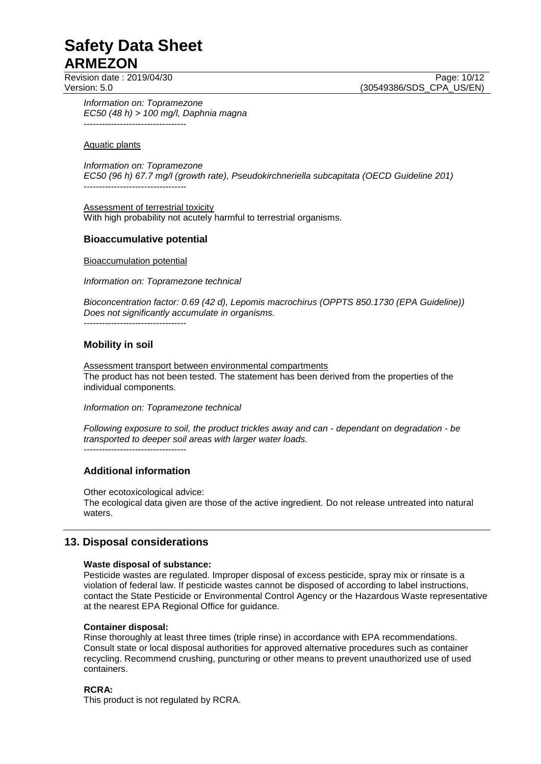Revision date : 2019/04/30 Page: 10/12

Version: 5.0 (30549386/SDS\_CPA\_US/EN)

*Information on: Topramezone EC50 (48 h) > 100 mg/l, Daphnia magna* ----------------------------------

Aquatic plants

*Information on: Topramezone EC50 (96 h) 67.7 mg/l (growth rate), Pseudokirchneriella subcapitata (OECD Guideline 201)* ----------------------------------

Assessment of terrestrial toxicity With high probability not acutely harmful to terrestrial organisms.

# **Bioaccumulative potential**

Bioaccumulation potential

*Information on: Topramezone technical*

*Bioconcentration factor: 0.69 (42 d), Lepomis macrochirus (OPPTS 850.1730 (EPA Guideline)) Does not significantly accumulate in organisms.*

----------------------------------

# **Mobility in soil**

Assessment transport between environmental compartments The product has not been tested. The statement has been derived from the properties of the individual components.

*Information on: Topramezone technical*

*Following exposure to soil, the product trickles away and can - dependant on degradation - be transported to deeper soil areas with larger water loads.*

----------------------------------

# **Additional information**

Other ecotoxicological advice:

The ecological data given are those of the active ingredient. Do not release untreated into natural waters.

# **13. Disposal considerations**

### **Waste disposal of substance:**

Pesticide wastes are regulated. Improper disposal of excess pesticide, spray mix or rinsate is a violation of federal law. If pesticide wastes cannot be disposed of according to label instructions, contact the State Pesticide or Environmental Control Agency or the Hazardous Waste representative at the nearest EPA Regional Office for guidance.

### **Container disposal:**

Rinse thoroughly at least three times (triple rinse) in accordance with EPA recommendations. Consult state or local disposal authorities for approved alternative procedures such as container recycling. Recommend crushing, puncturing or other means to prevent unauthorized use of used containers.

### **RCRA:**

This product is not regulated by RCRA.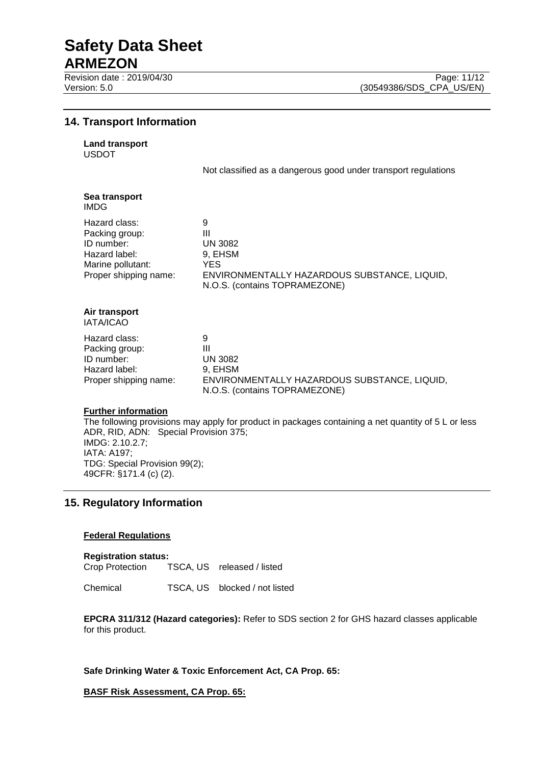# **14. Transport Information**

**Land transport**

USDOT

Not classified as a dangerous good under transport regulations

| Sea transport<br>IMDG                                                                                        |                                                                                                                              |
|--------------------------------------------------------------------------------------------------------------|------------------------------------------------------------------------------------------------------------------------------|
| Hazard class:<br>Packing group:<br>ID number:<br>Hazard label:<br>Marine pollutant:<br>Proper shipping name: | 9<br>Ш<br><b>UN 3082</b><br>9, EHSM<br>YES.<br>ENVIRONMENTALLY HAZARDOUS SUBSTANCE, LIQUID,<br>N.O.S. (contains TOPRAMEZONE) |
| Air transport<br>IATA/ICAO                                                                                   |                                                                                                                              |
| Hazard class:<br>Packing group:<br>ID number:<br>Hazard label:<br>Proper shipping name:                      | 9<br>Ш<br>UN 3082<br>9, EHSM<br>ENVIRONMENTALLY HAZARDOUS SUBSTANCE, LIQUID,                                                 |

### **Further information**

The following provisions may apply for product in packages containing a net quantity of 5 L or less ADR, RID, ADN: Special Provision 375; IMDG: 2.10.2.7; IATA: A197; TDG: Special Provision 99(2); 49CFR: §171.4 (c) (2).

N.O.S. (contains TOPRAMEZONE)

# **15. Regulatory Information**

### **Federal Regulations**

**Registration status:** Crop Protection TSCA, US released / listed

Chemical TSCA, US blocked / not listed

**EPCRA 311/312 (Hazard categories):** Refer to SDS section 2 for GHS hazard classes applicable for this product.

**Safe Drinking Water & Toxic Enforcement Act, CA Prop. 65:**

**BASF Risk Assessment, CA Prop. 65:**